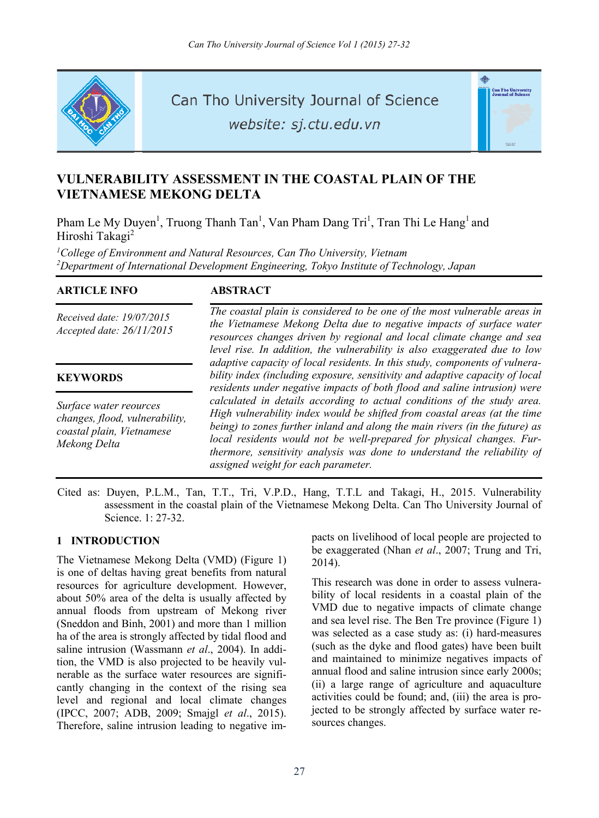

Can Tho University Journal of Science

website: sj.ctu.edu.vn



# **VULNERABILITY ASSESSMENT IN THE COASTAL PLAIN OF THE VIETNAMESE MEKONG DELTA**

Pham Le My Duyen<sup>1</sup>, Truong Thanh Tan<sup>1</sup>, Van Pham Dang Tri<sup>1</sup>, Tran Thi Le Hang<sup>1</sup> and Hiroshi Takagi<sup>2</sup>

<sup>1</sup>College of Environment and Natural Resources, Can Tho University, Vietnam *2 Department of International Development Engineering, Tokyo Institute of Technology, Japan* 

# **ARTICLE INFO ABSTRACT**

*Received date: 19/07/2015 Accepted date: 26/11/2015*

# **KEYWORDS**

*Surface water reources changes, flood, vulnerability, coastal plain, Vietnamese Mekong Delta*

*The coastal plain is considered to be one of the most vulnerable areas in the Vietnamese Mekong Delta due to negative impacts of surface water resources changes driven by regional and local climate change and sea level rise. In addition, the vulnerability is also exaggerated due to low adaptive capacity of local residents. In this study, components of vulnerability index (including exposure, sensitivity and adaptive capacity of local residents under negative impacts of both flood and saline intrusion) were calculated in details according to actual conditions of the study area. High vulnerability index would be shifted from coastal areas (at the time being) to zones further inland and along the main rivers (in the future) as local residents would not be well-prepared for physical changes. Furthermore, sensitivity analysis was done to understand the reliability of assigned weight for each parameter.* 

Cited as: Duyen, P.L.M., Tan, T.T., Tri, V.P.D., Hang, T.T.L and Takagi, H., 2015. Vulnerability assessment in the coastal plain of the Vietnamese Mekong Delta. Can Tho University Journal of Science. 1: 27-32.

# **1 INTRODUCTION**

The Vietnamese Mekong Delta (VMD) (Figure 1) is one of deltas having great benefits from natural resources for agriculture development. However, about 50% area of the delta is usually affected by annual floods from upstream of Mekong river (Sneddon and Binh, 2001) and more than 1 million ha of the area is strongly affected by tidal flood and saline intrusion (Wassmann *et al*., 2004). In addition, the VMD is also projected to be heavily vulnerable as the surface water resources are significantly changing in the context of the rising sea level and regional and local climate changes (IPCC, 2007; ADB, 2009; Smajgl *et al*., 2015). Therefore, saline intrusion leading to negative impacts on livelihood of local people are projected to be exaggerated (Nhan *et al*., 2007; Trung and Tri, 2014).

This research was done in order to assess vulnerability of local residents in a coastal plain of the VMD due to negative impacts of climate change and sea level rise. The Ben Tre province (Figure 1) was selected as a case study as: (i) hard-measures (such as the dyke and flood gates) have been built and maintained to minimize negatives impacts of annual flood and saline intrusion since early 2000s; (ii) a large range of agriculture and aquaculture activities could be found; and, (iii) the area is projected to be strongly affected by surface water resources changes.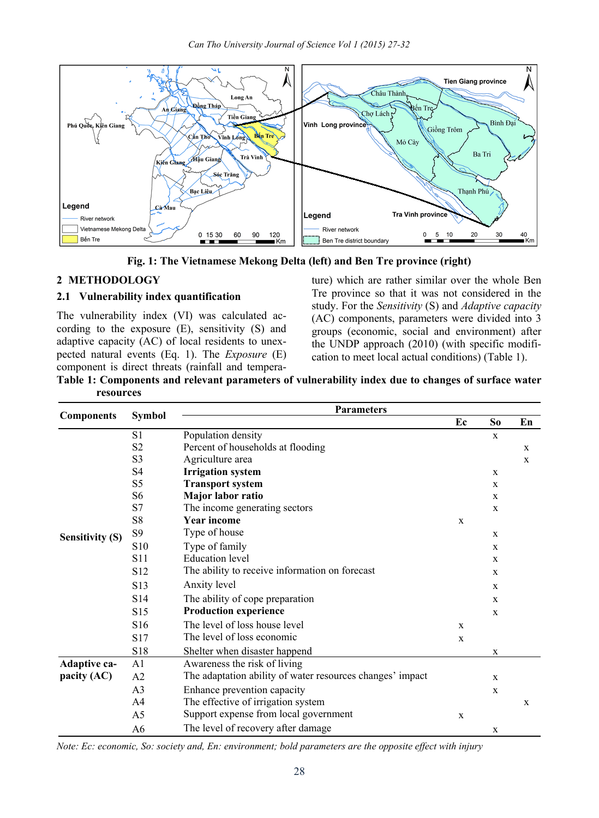

**Fig. 1: The Vietnamese Mekong Delta (left) and Ben Tre province (right)** 

# **2 METHODOLOGY**

#### **2.1 Vulnerability index quantification**

The vulnerability index (VI) was calculated according to the exposure (E), sensitivity (S) and adaptive capacity (AC) of local residents to unexpected natural events (Eq. 1). The *Exposure* (E) component is direct threats (rainfall and temperature) which are rather similar over the whole Ben Tre province so that it was not considered in the study. For the *Sensitivity* (S) and *Adaptive capacity* (AC) components, parameters were divided into 3 groups (economic, social and environment) after the UNDP approach (2010) (with specific modification to meet local actual conditions) (Table 1).

**Table 1: Components and relevant parameters of vulnerability index due to changes of surface water resources** 

|                        | <b>Symbol</b>   | <b>Parameters</b>                                         |             |                |             |  |  |  |
|------------------------|-----------------|-----------------------------------------------------------|-------------|----------------|-------------|--|--|--|
| <b>Components</b>      |                 |                                                           | Ec          | S <sub>o</sub> | En          |  |  |  |
|                        | S1              | Population density                                        |             | $\mathbf x$    |             |  |  |  |
|                        | S <sub>2</sub>  | Percent of households at flooding                         |             |                | $\mathbf x$ |  |  |  |
|                        | S <sub>3</sub>  | Agriculture area                                          |             |                | $\mathbf X$ |  |  |  |
|                        | S4              | <b>Irrigation</b> system                                  |             | $\mathbf x$    |             |  |  |  |
|                        | S <sub>5</sub>  | <b>Transport system</b>                                   |             | $\mathbf x$    |             |  |  |  |
|                        | S6              | Major labor ratio                                         |             | $\mathbf x$    |             |  |  |  |
|                        | S7              | The income generating sectors                             |             | $\mathbf x$    |             |  |  |  |
|                        | S8              | <b>Year income</b>                                        | X           |                |             |  |  |  |
| <b>Sensitivity (S)</b> | S9              | Type of house                                             |             | $\mathbf x$    |             |  |  |  |
|                        | S <sub>10</sub> | Type of family                                            |             | $\mathbf x$    |             |  |  |  |
|                        | S <sub>11</sub> | <b>Education</b> level                                    |             | $\mathbf x$    |             |  |  |  |
|                        | S <sub>12</sub> | The ability to receive information on forecast            |             | $\mathbf{x}$   |             |  |  |  |
|                        | S <sub>13</sub> | Anxity level                                              |             | $\mathbf x$    |             |  |  |  |
|                        | S <sub>14</sub> | The ability of cope preparation                           |             | $\mathbf x$    |             |  |  |  |
|                        | S <sub>15</sub> | <b>Production experience</b>                              |             | $\mathbf{x}$   |             |  |  |  |
|                        | S <sub>16</sub> | The level of loss house level                             | $\mathbf x$ |                |             |  |  |  |
|                        | S <sub>17</sub> | The level of loss economic                                | X           |                |             |  |  |  |
|                        | S <sub>18</sub> | Shelter when disaster happend                             |             | $\mathbf X$    |             |  |  |  |
| Adaptive ca-           | A1              | Awareness the risk of living                              |             |                |             |  |  |  |
| pacity $(AC)$          | A <sub>2</sub>  | The adaptation ability of water resources changes' impact |             | $\mathbf{x}$   |             |  |  |  |
|                        | A <sub>3</sub>  | Enhance prevention capacity                               |             | X              |             |  |  |  |
|                        | A4              | The effective of irrigation system                        |             |                | X           |  |  |  |
|                        | A5              | Support expense from local government                     | X           |                |             |  |  |  |
|                        | A6              | The level of recovery after damage                        |             | $\mathbf X$    |             |  |  |  |

*Note: Ec: economic, So: society and, En: environment; bold parameters are the opposite effect with injury*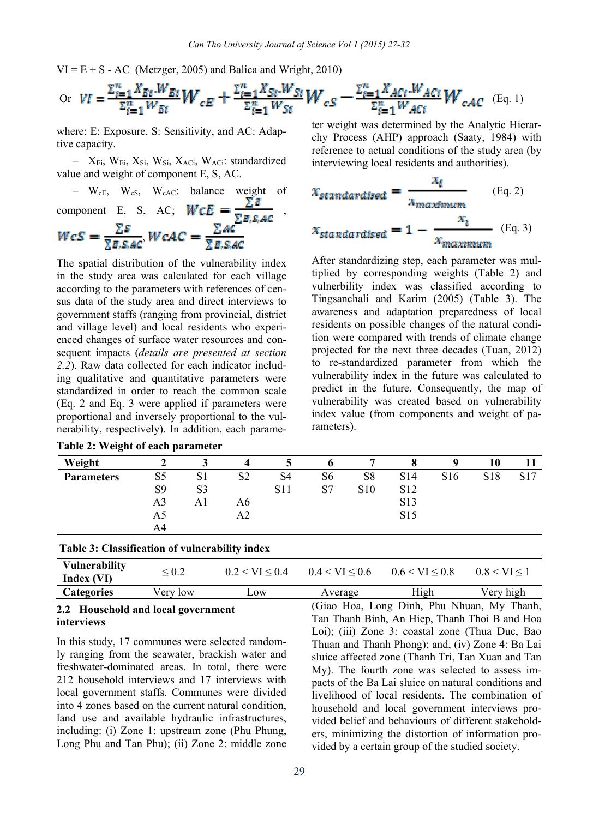$VI = E + S - AC$  (Metzger, 2005) and Balica and Wright, 2010)

or 
$$
VI = \frac{\sum_{i=1}^{n} X_{B_i} W_{B_i}}{\sum_{i=1}^{n} W_{B_i}} W_{cE} + \frac{\sum_{i=1}^{n} X_{S_i} W_{S_i}}{\sum_{i=1}^{n} W_{S_i}} W_{cS} - \frac{\sum_{i=1}^{n} X_{A_i} W_{A_i}}{\sum_{i=1}^{n} W_{A_i}} W_{cA_i} (Eq. 1)
$$

where: E: Exposure, S: Sensitivity, and AC: Adaptive capacity.

- X<sub>Ei</sub>, W<sub>Ei</sub>, X<sub>Si</sub>, W<sub>Si</sub>, X<sub>ACi</sub>, W<sub>ACi</sub>: standardized value and weight of component E, S, AC.

- W<sub>cE</sub>, W<sub>cS</sub>, W<sub>cAC</sub>: balance weight of component E, S, AC; 
$$
WCE = \frac{\Sigma B}{\Sigma E, S, AC}
$$
,  
\n
$$
WcS = \frac{\Sigma S}{\Sigma E, S, AC}
$$
  $WcAC = \frac{\Sigma AC}{\Sigma E, S, AC}$ 

The spatial distribution of the vulnerability index in the study area was calculated for each village according to the parameters with references of census data of the study area and direct interviews to government staffs (ranging from provincial, district and village level) and local residents who experienced changes of surface water resources and consequent impacts (*details are presented at section 2.2*). Raw data collected for each indicator including qualitative and quantitative parameters were standardized in order to reach the common scale (Eq. 2 and Eq. 3 were applied if parameters were proportional and inversely proportional to the vulnerability, respectively). In addition, each parame-

|  |  | Table 2: Weight of each parameter |  |
|--|--|-----------------------------------|--|
|  |  |                                   |  |

 $T$   $\overline{u}$   $\overline{u}$   $\overline{u}$   $\overline{u}$   $\overline{u}$   $\overline{u}$   $\overline{u}$   $\overline{u}$   $\overline{u}$   $\overline{u}$   $\overline{u}$   $\overline{u}$   $\overline{u}$   $\overline{u}$   $\overline{u}$   $\overline{u}$   $\overline{u}$   $\overline{u}$   $\overline{u}$   $\overline{u}$   $\overline{u}$   $\overline{u}$   $\overline{u}$   $\overline{u}$ 

ter weight was determined by the Analytic Hierarchy Process (AHP) approach (Saaty, 1984) with reference to actual conditions of the study area (by interviewing local residents and authorities).

$$
x_{standardised} = \frac{x_i}{x_{maximum}}
$$
 (Eq. 2)  

$$
x_{standardised} = 1 - \frac{x_i}{x_{maximum}}
$$
 (Eq. 3)

After standardizing step, each parameter was multiplied by corresponding weights (Table 2) and vulnerbility index was classified according to Tingsanchali and Karim (2005) (Table 3). The awareness and adaptation preparedness of local residents on possible changes of the natural condition were compared with trends of climate change projected for the next three decades (Tuan, 2012) to re-standardized parameter from which the vulnerability index in the future was calculated to predict in the future. Consequently, the map of vulnerability was created based on vulnerability index value (from components and weight of parameters).

| Weight            |                | ده             |                |            |    | -               |                 |                 | 10              |     |
|-------------------|----------------|----------------|----------------|------------|----|-----------------|-----------------|-----------------|-----------------|-----|
| <b>Parameters</b> | S <sub>5</sub> | S <sub>1</sub> | S <sub>2</sub> | S4         | S6 | S8              | S <sub>14</sub> | S <sub>16</sub> | S <sub>18</sub> | S17 |
|                   | S <sub>9</sub> | S <sub>3</sub> |                | <b>S11</b> | S7 | S <sub>10</sub> | S <sub>12</sub> |                 |                 |     |
|                   | A3             | Al             | A6             |            |    |                 | S13             |                 |                 |     |
|                   | A5             |                | A2             |            |    |                 | S <sub>15</sub> |                 |                 |     |
|                   | A4             |                |                |            |    |                 |                 |                 |                 |     |

| Table 3: Classification of vulnerability index |
|------------------------------------------------|
|------------------------------------------------|

| <b>Vulnerability</b><br>Index (VI) | $\stackrel{<}{\scriptstyle \sim} 0.2$ | $0.2 < VI \le 0.4$ | $0.4 < VI \leq 0.6$ | $0.6 \leq \text{VI} \leq 0.8$ | $0.8 \leq V I \leq 1$ |
|------------------------------------|---------------------------------------|--------------------|---------------------|-------------------------------|-----------------------|
| <b>Categories</b>                  | √ery low                              | $\sim$ OW          | Average             | High                          | Very high             |

#### **2.2 Household and local government interviews**

In this study, 17 communes were selected randomly ranging from the seawater, brackish water and freshwater-dominated areas. In total, there were 212 household interviews and 17 interviews with local government staffs. Communes were divided into 4 zones based on the current natural condition, land use and available hydraulic infrastructures, including: (i) Zone 1: upstream zone (Phu Phung, Long Phu and Tan Phu); (ii) Zone 2: middle zone (Giao Hoa, Long Dinh, Phu Nhuan, My Thanh, Tan Thanh Binh, An Hiep, Thanh Thoi B and Hoa Loi); (iii) Zone 3: coastal zone (Thua Duc, Bao Thuan and Thanh Phong); and, (iv) Zone 4: Ba Lai sluice affected zone (Thanh Tri, Tan Xuan and Tan My). The fourth zone was selected to assess impacts of the Ba Lai sluice on natural conditions and livelihood of local residents. The combination of household and local government interviews provided belief and behaviours of different stakeholders, minimizing the distortion of information provided by a certain group of the studied society.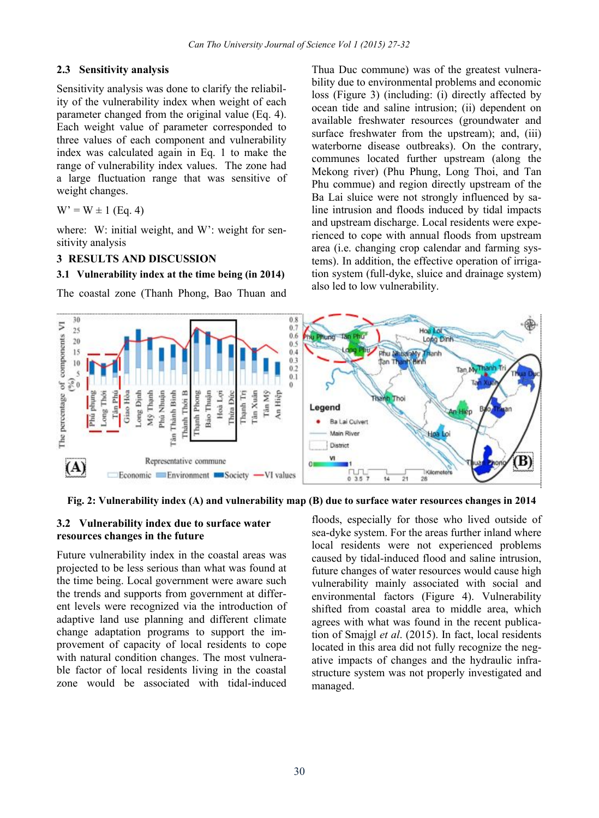#### **2.3 Sensitivity analysis**

Sensitivity analysis was done to clarify the reliability of the vulnerability index when weight of each parameter changed from the original value (Eq. 4). Each weight value of parameter corresponded to three values of each component and vulnerability index was calculated again in Eq. 1 to make the range of vulnerability index values. The zone had a large fluctuation range that was sensitive of weight changes.

 $W' = W \pm 1$  (Eq. 4)

where: W: initial weight, and W': weight for sensitivity analysis

#### **3 RESULTS AND DISCUSSION**

#### **3.1 Vulnerability index at the time being (in 2014)**

The coastal zone (Thanh Phong, Bao Thuan and

Thua Duc commune) was of the greatest vulnerability due to environmental problems and economic loss (Figure 3) (including: (i) directly affected by ocean tide and saline intrusion; (ii) dependent on available freshwater resources (groundwater and surface freshwater from the upstream); and, (iii) waterborne disease outbreaks). On the contrary, communes located further upstream (along the Mekong river) (Phu Phung, Long Thoi, and Tan Phu commue) and region directly upstream of the Ba Lai sluice were not strongly influenced by saline intrusion and floods induced by tidal impacts and upstream discharge. Local residents were experienced to cope with annual floods from upstream area (i.e. changing crop calendar and farming systems). In addition, the effective operation of irrigation system (full-dyke, sluice and drainage system) also led to low vulnerability.



 **Fig. 2: Vulnerability index (A) and vulnerability map (B) due to surface water resources changes in 2014** 

# **3.2 Vulnerability index due to surface water resources changes in the future**

Future vulnerability index in the coastal areas was projected to be less serious than what was found at the time being. Local government were aware such the trends and supports from government at different levels were recognized via the introduction of adaptive land use planning and different climate change adaptation programs to support the improvement of capacity of local residents to cope with natural condition changes. The most vulnerable factor of local residents living in the coastal zone would be associated with tidal-induced

floods, especially for those who lived outside of sea-dyke system. For the areas further inland where local residents were not experienced problems caused by tidal-induced flood and saline intrusion, future changes of water resources would cause high vulnerability mainly associated with social and environmental factors (Figure 4). Vulnerability shifted from coastal area to middle area, which agrees with what was found in the recent publication of Smajgl *et al*. (2015). In fact, local residents located in this area did not fully recognize the negative impacts of changes and the hydraulic infrastructure system was not properly investigated and managed.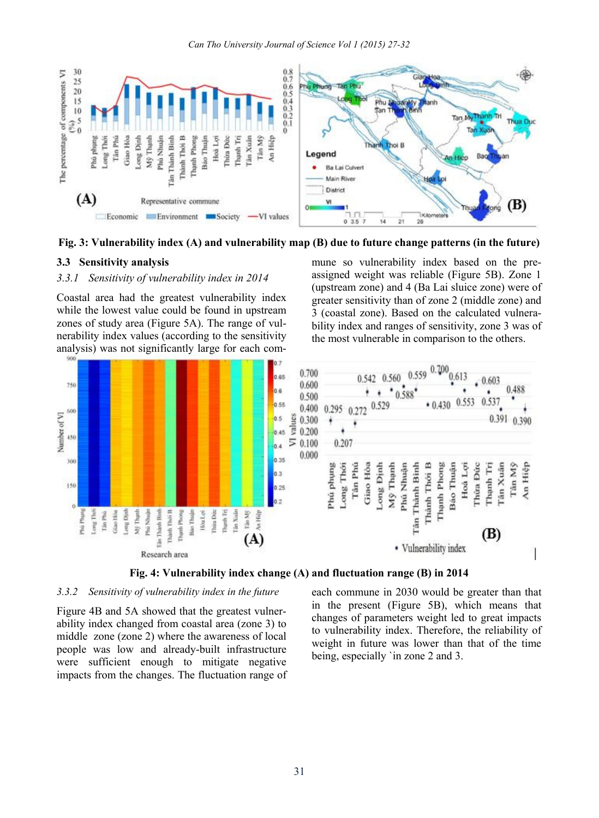

**Fig. 3: Vulnerability index (A) and vulnerability map (B) due to future change patterns (in the future)** 

#### **3.3 Sensitivity analysis**

#### *3.3.1 Sensitivity of vulnerability index in 2014*

Coastal area had the greatest vulnerability index while the lowest value could be found in upstream zones of study area (Figure 5A). The range of vulnerability index values (according to the sensitivity analysis) was not significantly large for each commune so vulnerability index based on the preassigned weight was reliable (Figure 5B). Zone 1 (upstream zone) and 4 (Ba Lai sluice zone) were of greater sensitivity than of zone 2 (middle zone) and 3 (coastal zone). Based on the calculated vulnerability index and ranges of sensitivity, zone 3 was of the most vulnerable in comparison to the others.



**Fig. 4: Vulnerability index change (A) and fluctuation range (B) in 2014**

### *3.3.2 Sensitivity of vulnerability index in the future*

Figure 4B and 5A showed that the greatest vulnerability index changed from coastal area (zone 3) to middle zone (zone 2) where the awareness of local people was low and already-built infrastructure were sufficient enough to mitigate negative impacts from the changes. The fluctuation range of each commune in 2030 would be greater than that in the present (Figure 5B), which means that changes of parameters weight led to great impacts to vulnerability index. Therefore, the reliability of weight in future was lower than that of the time being, especially `in zone 2 and 3.